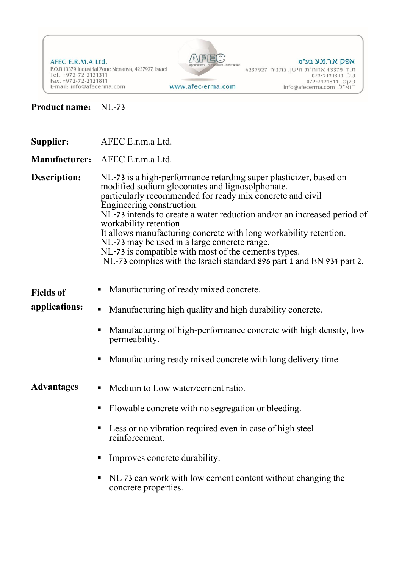AFEC E.R.M.A Ltd. P.O.B 13379 Industrial Zone Nenanya, 4237927, Israel Tel. +972-72-2121311<br>Fax. +972-72-2121811 E-mail: info@afecerma.com



www.afec-erma.com

## אפק א.ר.מ.ע בע״מ

ת.ד 13379 אזוה״ת הישן, נתניה 4237927<br>ת.ד 13379 אזוה״ת הישן, נתניה 4237927<br>109 o72-2121811 .op9<br>11M"ל. info@afecerma.com

**Product name:** NL-73

| <b>Supplier:</b>                  | AFEC E.r.m.a Ltd.                                                                                                                                                                                                                                                                                                                                                                                                                                                                                                                                                          |
|-----------------------------------|----------------------------------------------------------------------------------------------------------------------------------------------------------------------------------------------------------------------------------------------------------------------------------------------------------------------------------------------------------------------------------------------------------------------------------------------------------------------------------------------------------------------------------------------------------------------------|
|                                   | Manufacturer: AFEC E.r.m.a Ltd.                                                                                                                                                                                                                                                                                                                                                                                                                                                                                                                                            |
| Description:                      | NL-73 is a high-performance retarding super plasticizer, based on<br>modified sodium gloconates and lignosolphonate.<br>particularly recommended for ready mix concrete and civil<br>Engineering construction.<br>NL-73 intends to create a water reduction and/or an increased period of<br>workability retention.<br>It allows manufacturing concrete with long workability retention.<br>NL-73 may be used in a large concrete range.<br>NL-73 is compatible with most of the cement's types.<br>NL-73 complies with the Israeli standard 896 part 1 and EN 934 part 2. |
| <b>Fields of</b><br>applications: | Manufacturing of ready mixed concrete.<br>п<br>Manufacturing high quality and high durability concrete.<br>$\blacksquare$<br>Manufacturing of high-performance concrete with high density, low<br>п<br>permeability.<br>Manufacturing ready mixed concrete with long delivery time.<br>п                                                                                                                                                                                                                                                                                   |
| <b>Advantages</b>                 | Medium to Low water/cement ratio.<br>п<br>Flowable concrete with no segregation or bleeding.<br>п<br>Less or no vibration required even in case of high steel<br>reinforcement.<br>Improves concrete durability.<br>п<br>NL 73 can work with low cement content without changing the<br>п<br>concrete properties.                                                                                                                                                                                                                                                          |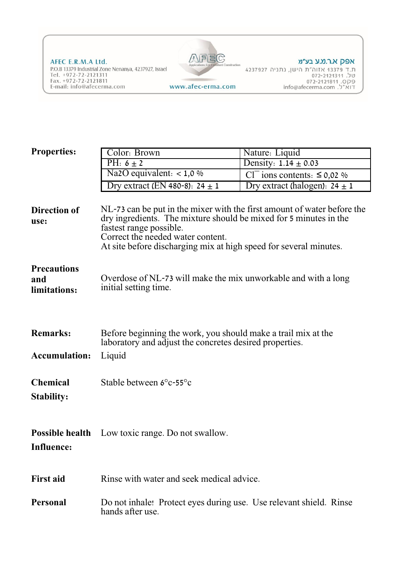AFEC E.R.M.A Ltd. P.O.B 13379 Industrial Zone Nenanya, 4237927, Israel<br>Tel. +972-72-2121311<br>Fax. +972-72-2121811 E-mail: info@afecerma.com



## אפק א.ר.מ.ע בע״מ

ת.ד 13379 אזוה״ת הישן, נתניה 4237927<br>ת.ד 13379 אזוה״ת הישן, נתניה 4237927<br>072-2121811 .op9<br>info@afecerma.com

www.afec-erma.com

| <b>Properties:</b>                        | Color: Brown                                                                                                                                                                                                                                                                      | Nature: Liquid                                                       |  |
|-------------------------------------------|-----------------------------------------------------------------------------------------------------------------------------------------------------------------------------------------------------------------------------------------------------------------------------------|----------------------------------------------------------------------|--|
|                                           | PH: $6 \pm 2$                                                                                                                                                                                                                                                                     | Density: $1.14 \pm 0.03$                                             |  |
|                                           | $\overline{\text{Na2O}}$ equivalent: < 1,0 %                                                                                                                                                                                                                                      | Cl <sup><math>\overline{C}</math></sup> ions contents: $\leq 0.02$ % |  |
|                                           | Dry extract (EN 480-8): $24 \pm 1$                                                                                                                                                                                                                                                | Dry extract (halogen): $24 \pm 1$                                    |  |
| Direction of<br>use:                      | NL-73 can be put in the mixer with the first amount of water before the<br>dry ingredients. The mixture should be mixed for 5 minutes in the<br>fastest range possible.<br>Correct the needed water content.<br>At site before discharging mix at high speed for several minutes. |                                                                      |  |
| <b>Precautions</b><br>and<br>limitations: | Overdose of NL-73 will make the mix unworkable and with a long<br>initial setting time.                                                                                                                                                                                           |                                                                      |  |
| <b>Remarks:</b><br><b>Accumulation:</b>   | Before beginning the work, you should make a trail mix at the<br>laboratory and adjust the concretes desired properties.<br>Liquid                                                                                                                                                |                                                                      |  |
| <b>Chemical</b><br><b>Stability:</b>      | Stable between 6°c-55°c                                                                                                                                                                                                                                                           |                                                                      |  |
| <b>Influence:</b>                         | <b>Possible health</b> Low toxic range. Do not swallow.                                                                                                                                                                                                                           |                                                                      |  |
| <b>First aid</b>                          | Rinse with water and seek medical advice.                                                                                                                                                                                                                                         |                                                                      |  |
| <b>Personal</b>                           | Do not inhale! Protect eyes during use. Use relevant shield. Rinse<br>hands after use.                                                                                                                                                                                            |                                                                      |  |